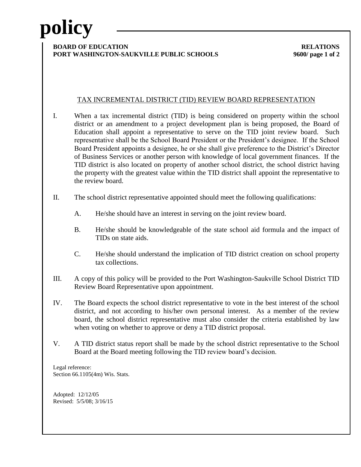# **policy**

#### **BOARD OF EDUCATION RELATIONS PORT WASHINGTON-SAUKVILLE PUBLIC SCHOOLS 9600/ page 1 of 2**

## TAX INCREMENTAL DISTRICT (TID) REVIEW BOARD REPRESENTATION

- I. When a tax incremental district (TID) is being considered on property within the school district or an amendment to a project development plan is being proposed, the Board of Education shall appoint a representative to serve on the TID joint review board. Such representative shall be the School Board President or the President's designee. If the School Board President appoints a designee, he or she shall give preference to the District's Director of Business Services or another person with knowledge of local government finances. If the TID district is also located on property of another school district, the school district having the property with the greatest value within the TID district shall appoint the representative to the review board.
- II. The school district representative appointed should meet the following qualifications:
	- A. He/she should have an interest in serving on the joint review board.
	- B. He/she should be knowledgeable of the state school aid formula and the impact of TIDs on state aids.
	- C. He/she should understand the implication of TID district creation on school property tax collections.
- III. A copy of this policy will be provided to the Port Washington-Saukville School District TID Review Board Representative upon appointment.
- IV. The Board expects the school district representative to vote in the best interest of the school district, and not according to his/her own personal interest. As a member of the review board, the school district representative must also consider the criteria established by law when voting on whether to approve or deny a TID district proposal.
- V. A TID district status report shall be made by the school district representative to the School Board at the Board meeting following the TID review board's decision.

Legal reference: Section 66.1105(4m) Wis. Stats.

Adopted: 12/12/05 Revised: 5/5/08; 3/16/15